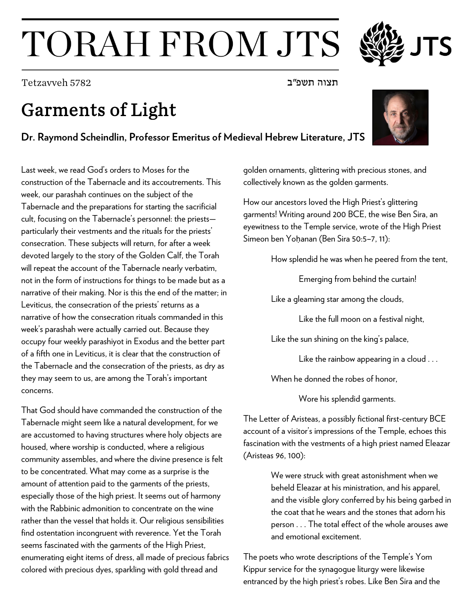## TORAH FROM JTS

תצוה תשפ"ב 5782 Tetzavveh

## Garments of Light

## **Dr. Raymond Scheindlin, Professor Emeritus of Medieval Hebrew Literature, JTS**

Last week, we read God's orders to Moses for the construction of the Tabernacle and its accoutrements. This week, our parashah continues on the subject of the Tabernacle and the preparations for starting the sacrificial cult, focusing on the Tabernacle's personnel: the priests particularly their vestments and the rituals for the priests' consecration. These subjects will return, for after a week devoted largely to the story of the Golden Calf, the Torah will repeat the account of the Tabernacle nearly verbatim, not in the form of instructions for things to be made but as a narrative of their making. Nor is this the end of the matter; in Leviticus, the consecration of the priests' returns as a narrative of how the consecration rituals commanded in this week's parashah were actually carried out. Because they occupy four weekly parashiyot in Exodus and the better part of a fifth one in Leviticus, it is clear that the construction of the Tabernacle and the consecration of the priests, as dry as they may seem to us, are among the Torah's important concerns.

That God should have commanded the construction of the Tabernacle might seem like a natural development, for we are accustomed to having structures where holy objects are housed, where worship is conducted, where a religious community assembles, and where the divine presence is felt to be concentrated. What may come as a surprise is the amount of attention paid to the garments of the priests, especially those of the high priest. It seems out of harmony with the Rabbinic admonition to concentrate on the wine rather than the vessel that holds it. Our religious sensibilities find ostentation incongruent with reverence. Yet the Torah seems fascinated with the garments of the High Priest, enumerating eight items of dress, all made of precious fabrics colored with precious dyes, sparkling with gold thread and

golden ornaments, glittering with precious stones, and collectively known as the golden garments.

How our ancestors loved the High Priest's glittering garments! Writing around 200 BCE, the wise Ben Sira, an eyewitness to the Temple service, wrote of the High Priest Simeon ben Yoḥanan (Ben Sira 50:5–7, 11):

How splendid he was when he peered from the tent,

Emerging from behind the curtain!

Like a gleaming star among the clouds,

Like the full moon on a festival night,

Like the sun shining on the king's palace,

Like the rainbow appearing in a cloud . . .

When he donned the robes of honor,

Wore his splendid garments.

The Letter of Aristeas, a possibly fictional first-century BCE account of a visitor's impressions of the Temple, echoes this fascination with the vestments of a high priest named Eleazar (Aristeas 96, 100):

> We were struck with great astonishment when we beheld Eleazar at his ministration, and his apparel, and the visible glory conferred by his being garbed in the coat that he wears and the stones that adorn his person . . . The total effect of the whole arouses awe and emotional excitement.

The poets who wrote descriptions of the Temple's Yom Kippur service for the synagogue liturgy were likewise entranced by the high priest's robes. Like Ben Sira and the